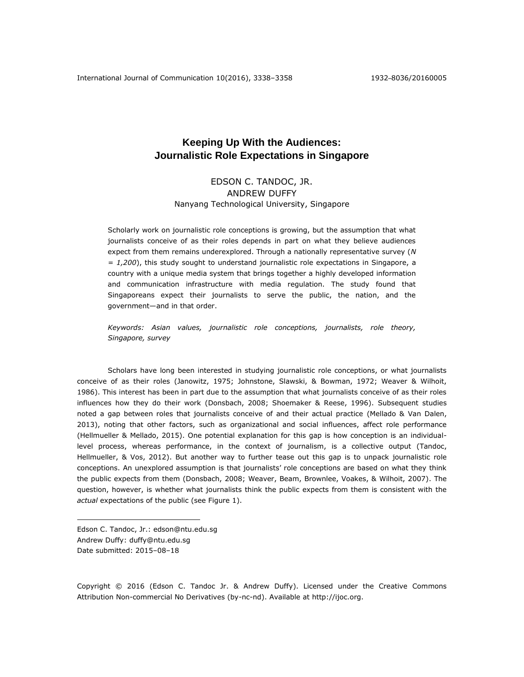# **Keeping Up With the Audiences: Journalistic Role Expectations in Singapore**

# EDSON C. TANDOC, JR. ANDREW DUFFY Nanyang Technological University, Singapore

Scholarly work on journalistic role conceptions is growing, but the assumption that what journalists conceive of as their roles depends in part on what they believe audiences expect from them remains underexplored. Through a nationally representative survey (*N = 1,200*), this study sought to understand journalistic role expectations in Singapore, a country with a unique media system that brings together a highly developed information and communication infrastructure with media regulation. The study found that Singaporeans expect their journalists to serve the public, the nation, and the government—and in that order.

*Keywords: Asian values, journalistic role conceptions, journalists, role theory, Singapore, survey*

Scholars have long been interested in studying journalistic role conceptions, or what journalists conceive of as their roles (Janowitz, 1975; Johnstone, Slawski, & Bowman, 1972; Weaver & Wilhoit, 1986). This interest has been in part due to the assumption that what journalists conceive of as their roles influences how they do their work (Donsbach, 2008; Shoemaker & Reese, 1996). Subsequent studies noted a gap between roles that journalists conceive of and their actual practice (Mellado & Van Dalen, 2013), noting that other factors, such as organizational and social influences, affect role performance (Hellmueller & Mellado, 2015). One potential explanation for this gap is how conception is an individuallevel process, whereas performance, in the context of journalism, is a collective output (Tandoc, Hellmueller, & Vos, 2012). But another way to further tease out this gap is to unpack journalistic role conceptions. An unexplored assumption is that journalists' role conceptions are based on what they think the public expects from them (Donsbach, 2008; Weaver, Beam, Brownlee, Voakes, & Wilhoit, 2007). The question, however, is whether what journalists think the public expects from them is consistent with the *actual* expectations of the public (see Figure 1).

Edson C. Tandoc, Jr.: edson@ntu.edu.sg Andrew Duffy: duffy@ntu.edu.sg Date submitted: 2015–08–18

 $\overline{a}$ 

Copyright © 2016 (Edson C. Tandoc Jr. & Andrew Duffy). Licensed under the Creative Commons Attribution Non-commercial No Derivatives (by-nc-nd). Available at [http://ijoc.org.](http://ijoc.org/)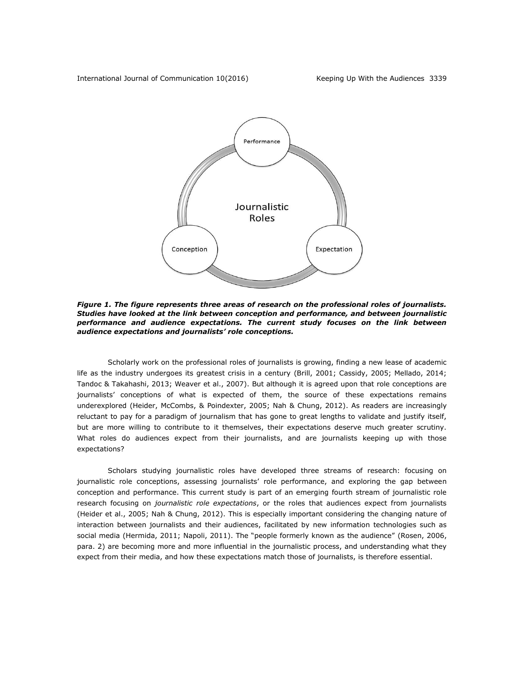

*Figure 1. The figure represents three areas of research on the professional roles of journalists. Studies have looked at the link between conception and performance, and between journalistic performance and audience expectations. The current study focuses on the link between audience expectations and journalists' role conceptions.*

Scholarly work on the professional roles of journalists is growing, finding a new lease of academic life as the industry undergoes its greatest crisis in a century (Brill, 2001; Cassidy, 2005; Mellado, 2014; Tandoc & Takahashi, 2013; Weaver et al., 2007). But although it is agreed upon that role conceptions are journalists' conceptions of what is expected of them, the source of these expectations remains underexplored (Heider, McCombs, & Poindexter, 2005; Nah & Chung, 2012). As readers are increasingly reluctant to pay for a paradigm of journalism that has gone to great lengths to validate and justify itself, but are more willing to contribute to it themselves, their expectations deserve much greater scrutiny. What roles do audiences expect from their journalists, and are journalists keeping up with those expectations?

Scholars studying journalistic roles have developed three streams of research: focusing on journalistic role conceptions, assessing journalists' role performance, and exploring the gap between conception and performance. This current study is part of an emerging fourth stream of journalistic role research focusing on *journalistic role expectations*, or the roles that audiences expect from journalists (Heider et al., 2005; Nah & Chung, 2012). This is especially important considering the changing nature of interaction between journalists and their audiences, facilitated by new information technologies such as social media (Hermida, 2011; Napoli, 2011). The "people formerly known as the audience" (Rosen, 2006, para. 2) are becoming more and more influential in the journalistic process, and understanding what they expect from their media, and how these expectations match those of journalists, is therefore essential.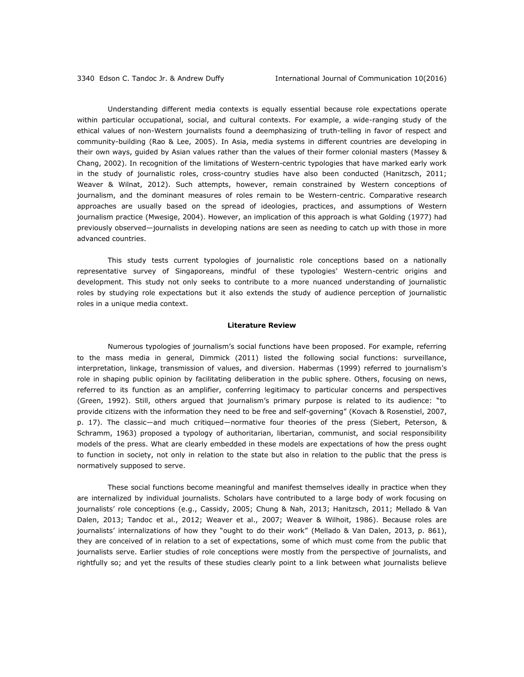Understanding different media contexts is equally essential because role expectations operate within particular occupational, social, and cultural contexts. For example, a wide-ranging study of the ethical values of non-Western journalists found a deemphasizing of truth-telling in favor of respect and community-building (Rao & Lee, 2005). In Asia, media systems in different countries are developing in their own ways, guided by Asian values rather than the values of their former colonial masters (Massey & Chang, 2002). In recognition of the limitations of Western-centric typologies that have marked early work in the study of journalistic roles, cross-country studies have also been conducted (Hanitzsch, 2011; Weaver & Wilnat, 2012). Such attempts, however, remain constrained by Western conceptions of journalism, and the dominant measures of roles remain to be Western-centric. Comparative research approaches are usually based on the spread of ideologies, practices, and assumptions of Western journalism practice (Mwesige, 2004). However, an implication of this approach is what Golding (1977) had previously observed—journalists in developing nations are seen as needing to catch up with those in more advanced countries.

This study tests current typologies of journalistic role conceptions based on a nationally representative survey of Singaporeans, mindful of these typologies' Western-centric origins and development. This study not only seeks to contribute to a more nuanced understanding of journalistic roles by studying role expectations but it also extends the study of audience perception of journalistic roles in a unique media context.

# **Literature Review**

Numerous typologies of journalism's social functions have been proposed. For example, referring to the mass media in general, Dimmick (2011) listed the following social functions: surveillance, interpretation, linkage, transmission of values, and diversion. Habermas (1999) referred to journalism's role in shaping public opinion by facilitating deliberation in the public sphere. Others, focusing on news, referred to its function as an amplifier, conferring legitimacy to particular concerns and perspectives (Green, 1992). Still, others argued that journalism's primary purpose is related to its audience: "to provide citizens with the information they need to be free and self-governing" (Kovach & Rosenstiel, 2007, p. 17). The classic—and much critiqued—normative four theories of the press (Siebert, Peterson, & Schramm, 1963) proposed a typology of authoritarian, libertarian, communist, and social responsibility models of the press. What are clearly embedded in these models are expectations of how the press ought to function in society, not only in relation to the state but also in relation to the public that the press is normatively supposed to serve.

These social functions become meaningful and manifest themselves ideally in practice when they are internalized by individual journalists. Scholars have contributed to a large body of work focusing on journalists' role conceptions (e.g., Cassidy, 2005; Chung & Nah, 2013; Hanitzsch, 2011; Mellado & Van Dalen, 2013; Tandoc et al., 2012; Weaver et al., 2007; Weaver & Wilhoit, 1986). Because roles are journalists' internalizations of how they "ought to do their work" (Mellado & Van Dalen, 2013, p. 861), they are conceived of in relation to a set of expectations, some of which must come from the public that journalists serve. Earlier studies of role conceptions were mostly from the perspective of journalists, and rightfully so; and yet the results of these studies clearly point to a link between what journalists believe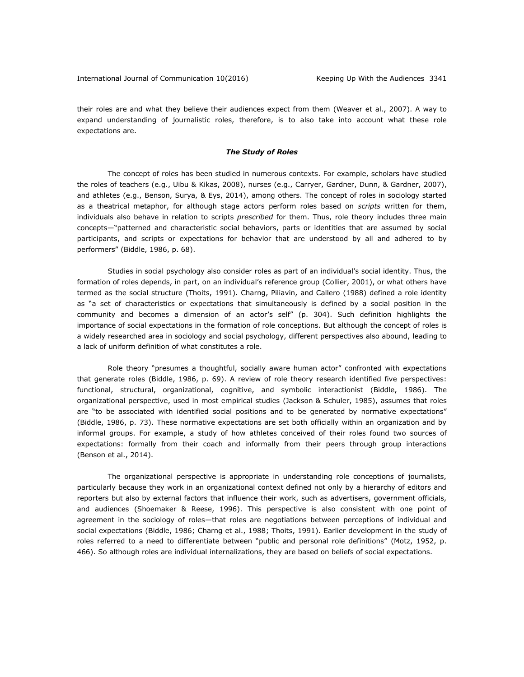their roles are and what they believe their audiences expect from them (Weaver et al., 2007). A way to expand understanding of journalistic roles, therefore, is to also take into account what these role expectations are.

# *The Study of Roles*

The concept of roles has been studied in numerous contexts. For example, scholars have studied the roles of teachers (e.g., Uibu & Kikas, 2008), nurses (e.g., Carryer, Gardner, Dunn, & Gardner, 2007), and athletes (e.g., Benson, Surya, & Eys, 2014), among others. The concept of roles in sociology started as a theatrical metaphor, for although stage actors perform roles based on *scripts* written for them, individuals also behave in relation to scripts *prescribed* for them. Thus, role theory includes three main concepts—"patterned and characteristic social behaviors, parts or identities that are assumed by social participants, and scripts or expectations for behavior that are understood by all and adhered to by performers" (Biddle, 1986, p. 68).

Studies in social psychology also consider roles as part of an individual's social identity. Thus, the formation of roles depends, in part, on an individual's reference group (Collier, 2001), or what others have termed as the social structure (Thoits, 1991). Charng, Piliavin, and Callero (1988) defined a role identity as "a set of characteristics or expectations that simultaneously is defined by a social position in the community and becomes a dimension of an actor's self" (p. 304). Such definition highlights the importance of social expectations in the formation of role conceptions. But although the concept of roles is a widely researched area in sociology and social psychology, different perspectives also abound, leading to a lack of uniform definition of what constitutes a role.

Role theory "presumes a thoughtful, socially aware human actor" confronted with expectations that generate roles (Biddle, 1986, p. 69). A review of role theory research identified five perspectives: functional, structural, organizational, cognitive, and symbolic interactionist (Biddle, 1986). The organizational perspective, used in most empirical studies (Jackson & Schuler, 1985), assumes that roles are "to be associated with identified social positions and to be generated by normative expectations" (Biddle, 1986, p. 73). These normative expectations are set both officially within an organization and by informal groups. For example, a study of how athletes conceived of their roles found two sources of expectations: formally from their coach and informally from their peers through group interactions (Benson et al., 2014).

The organizational perspective is appropriate in understanding role conceptions of journalists, particularly because they work in an organizational context defined not only by a hierarchy of editors and reporters but also by external factors that influence their work, such as advertisers, government officials, and audiences (Shoemaker & Reese, 1996). This perspective is also consistent with one point of agreement in the sociology of roles—that roles are negotiations between perceptions of individual and social expectations (Biddle, 1986; Charng et al., 1988; Thoits, 1991). Earlier development in the study of roles referred to a need to differentiate between "public and personal role definitions" (Motz, 1952, p. 466). So although roles are individual internalizations, they are based on beliefs of social expectations.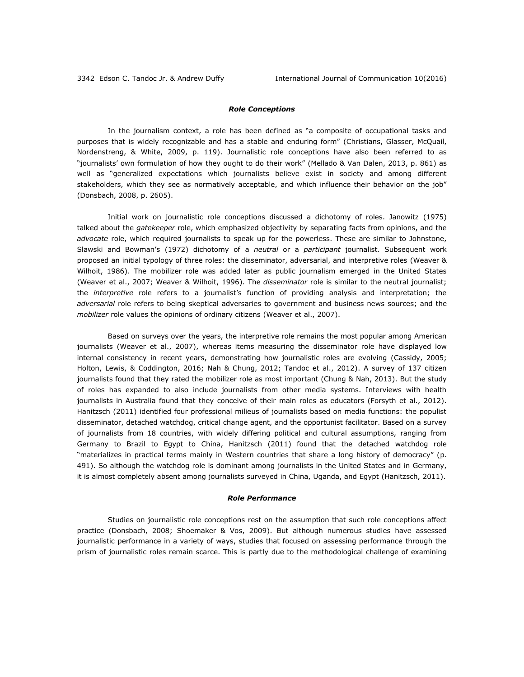# *Role Conceptions*

In the journalism context, a role has been defined as "a composite of occupational tasks and purposes that is widely recognizable and has a stable and enduring form" (Christians, Glasser, McQuail, Nordenstreng, & White, 2009, p. 119). Journalistic role conceptions have also been referred to as "journalists' own formulation of how they ought to do their work" (Mellado & Van Dalen, 2013, p. 861) as well as "generalized expectations which journalists believe exist in society and among different stakeholders, which they see as normatively acceptable, and which influence their behavior on the job" (Donsbach, 2008, p. 2605).

Initial work on journalistic role conceptions discussed a dichotomy of roles. Janowitz (1975) talked about the *gatekeeper* role, which emphasized objectivity by separating facts from opinions, and the *advocate* role, which required journalists to speak up for the powerless. These are similar to Johnstone, Slawski and Bowman's (1972) dichotomy of a *neutral* or a *participant* journalist. Subsequent work proposed an initial typology of three roles: the disseminator, adversarial, and interpretive roles (Weaver & Wilhoit, 1986). The mobilizer role was added later as public journalism emerged in the United States (Weaver et al., 2007; Weaver & Wilhoit, 1996). The *disseminator* role is similar to the neutral journalist; the *interpretive* role refers to a journalist's function of providing analysis and interpretation; the *adversarial* role refers to being skeptical adversaries to government and business news sources; and the *mobilizer* role values the opinions of ordinary citizens (Weaver et al., 2007).

Based on surveys over the years, the interpretive role remains the most popular among American journalists (Weaver et al., 2007), whereas items measuring the disseminator role have displayed low internal consistency in recent years, demonstrating how journalistic roles are evolving (Cassidy, 2005; Holton, Lewis, & Coddington, 2016; Nah & Chung, 2012; Tandoc et al., 2012). A survey of 137 citizen journalists found that they rated the mobilizer role as most important (Chung & Nah, 2013). But the study of roles has expanded to also include journalists from other media systems. Interviews with health journalists in Australia found that they conceive of their main roles as educators (Forsyth et al., 2012). Hanitzsch (2011) identified four professional milieus of journalists based on media functions: the populist disseminator, detached watchdog, critical change agent, and the opportunist facilitator. Based on a survey of journalists from 18 countries, with widely differing political and cultural assumptions, ranging from Germany to Brazil to Egypt to China, Hanitzsch (2011) found that the detached watchdog role "materializes in practical terms mainly in Western countries that share a long history of democracy" (p. 491). So although the watchdog role is dominant among journalists in the United States and in Germany, it is almost completely absent among journalists surveyed in China, Uganda, and Egypt (Hanitzsch, 2011).

#### *Role Performance*

Studies on journalistic role conceptions rest on the assumption that such role conceptions affect practice (Donsbach, 2008; Shoemaker & Vos, 2009). But although numerous studies have assessed journalistic performance in a variety of ways, studies that focused on assessing performance through the prism of journalistic roles remain scarce. This is partly due to the methodological challenge of examining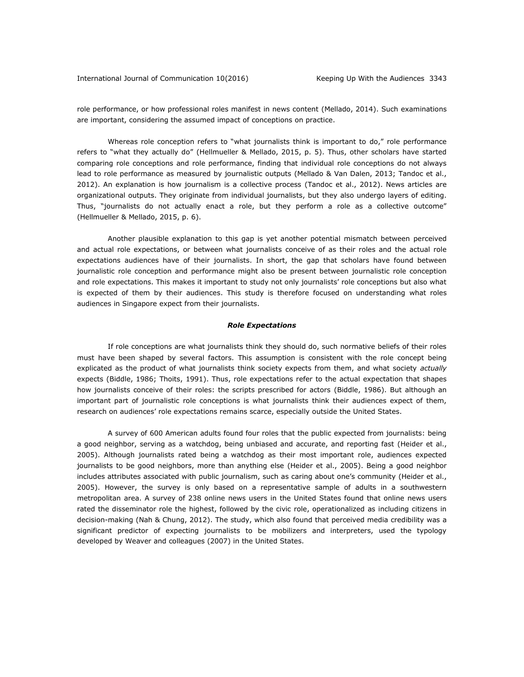role performance, or how professional roles manifest in news content (Mellado, 2014). Such examinations are important, considering the assumed impact of conceptions on practice.

Whereas role conception refers to "what journalists think is important to do," role performance refers to "what they actually do" (Hellmueller & Mellado, 2015, p. 5). Thus, other scholars have started comparing role conceptions and role performance, finding that individual role conceptions do not always lead to role performance as measured by journalistic outputs (Mellado & Van Dalen, 2013; Tandoc et al., 2012). An explanation is how journalism is a collective process (Tandoc et al., 2012). News articles are organizational outputs. They originate from individual journalists, but they also undergo layers of editing. Thus, "journalists do not actually enact a role, but they perform a role as a collective outcome" (Hellmueller & Mellado, 2015, p. 6).

Another plausible explanation to this gap is yet another potential mismatch between perceived and actual role expectations, or between what journalists conceive of as their roles and the actual role expectations audiences have of their journalists. In short, the gap that scholars have found between journalistic role conception and performance might also be present between journalistic role conception and role expectations. This makes it important to study not only journalists' role conceptions but also what is expected of them by their audiences. This study is therefore focused on understanding what roles audiences in Singapore expect from their journalists.

#### *Role Expectations*

If role conceptions are what journalists think they should do, such normative beliefs of their roles must have been shaped by several factors. This assumption is consistent with the role concept being explicated as the product of what journalists think society expects from them, and what society *actually* expects (Biddle, 1986; Thoits, 1991). Thus, role expectations refer to the actual expectation that shapes how journalists conceive of their roles: the scripts prescribed for actors (Biddle, 1986). But although an important part of journalistic role conceptions is what journalists think their audiences expect of them, research on audiences' role expectations remains scarce, especially outside the United States.

A survey of 600 American adults found four roles that the public expected from journalists: being a good neighbor, serving as a watchdog, being unbiased and accurate, and reporting fast (Heider et al., 2005). Although journalists rated being a watchdog as their most important role, audiences expected journalists to be good neighbors, more than anything else (Heider et al., 2005). Being a good neighbor includes attributes associated with public journalism, such as caring about one's community (Heider et al., 2005). However, the survey is only based on a representative sample of adults in a southwestern metropolitan area. A survey of 238 online news users in the United States found that online news users rated the disseminator role the highest, followed by the civic role, operationalized as including citizens in decision-making (Nah & Chung, 2012). The study, which also found that perceived media credibility was a significant predictor of expecting journalists to be mobilizers and interpreters, used the typology developed by Weaver and colleagues (2007) in the United States.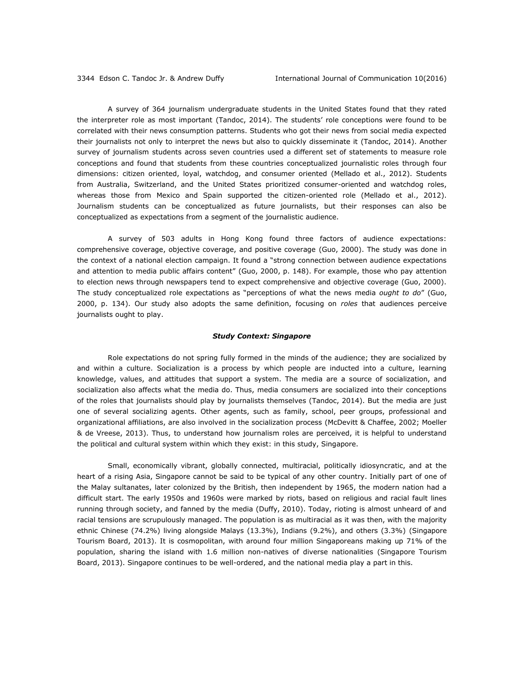A survey of 364 journalism undergraduate students in the United States found that they rated the interpreter role as most important (Tandoc, 2014). The students' role conceptions were found to be correlated with their news consumption patterns. Students who got their news from social media expected their journalists not only to interpret the news but also to quickly disseminate it (Tandoc, 2014). Another survey of journalism students across seven countries used a different set of statements to measure role conceptions and found that students from these countries conceptualized journalistic roles through four dimensions: citizen oriented, loyal, watchdog, and consumer oriented (Mellado et al., 2012). Students from Australia, Switzerland, and the United States prioritized consumer-oriented and watchdog roles, whereas those from Mexico and Spain supported the citizen-oriented role (Mellado et al., 2012). Journalism students can be conceptualized as future journalists, but their responses can also be conceptualized as expectations from a segment of the journalistic audience.

A survey of 503 adults in Hong Kong found three factors of audience expectations: comprehensive coverage, objective coverage, and positive coverage (Guo, 2000). The study was done in the context of a national election campaign. It found a "strong connection between audience expectations and attention to media public affairs content" (Guo, 2000, p. 148). For example, those who pay attention to election news through newspapers tend to expect comprehensive and objective coverage (Guo, 2000). The study conceptualized role expectations as "perceptions of what the news media *ought to do*" (Guo, 2000, p. 134). Our study also adopts the same definition, focusing on *roles* that audiences perceive journalists ought to play.

#### *Study Context: Singapore*

Role expectations do not spring fully formed in the minds of the audience; they are socialized by and within a culture. Socialization is a process by which people are inducted into a culture, learning knowledge, values, and attitudes that support a system. The media are a source of socialization, and socialization also affects what the media do. Thus, media consumers are socialized into their conceptions of the roles that journalists should play by journalists themselves (Tandoc, 2014). But the media are just one of several socializing agents. Other agents, such as family, school, peer groups, professional and organizational affiliations, are also involved in the socialization process (McDevitt & Chaffee, 2002; Moeller & de Vreese, 2013). Thus, to understand how journalism roles are perceived, it is helpful to understand the political and cultural system within which they exist: in this study, Singapore.

Small, economically vibrant, globally connected, multiracial, politically idiosyncratic, and at the heart of a rising Asia, Singapore cannot be said to be typical of any other country. Initially part of one of the Malay sultanates, later colonized by the British, then independent by 1965, the modern nation had a difficult start. The early 1950s and 1960s were marked by riots, based on religious and racial fault lines running through society, and fanned by the media (Duffy, 2010). Today, rioting is almost unheard of and racial tensions are scrupulously managed. The population is as multiracial as it was then, with the majority ethnic Chinese (74.2%) living alongside Malays (13.3%), Indians (9.2%), and others (3.3%) (Singapore Tourism Board, 2013). It is cosmopolitan, with around four million Singaporeans making up 71% of the population, sharing the island with 1.6 million non-natives of diverse nationalities (Singapore Tourism Board, 2013). Singapore continues to be well-ordered, and the national media play a part in this.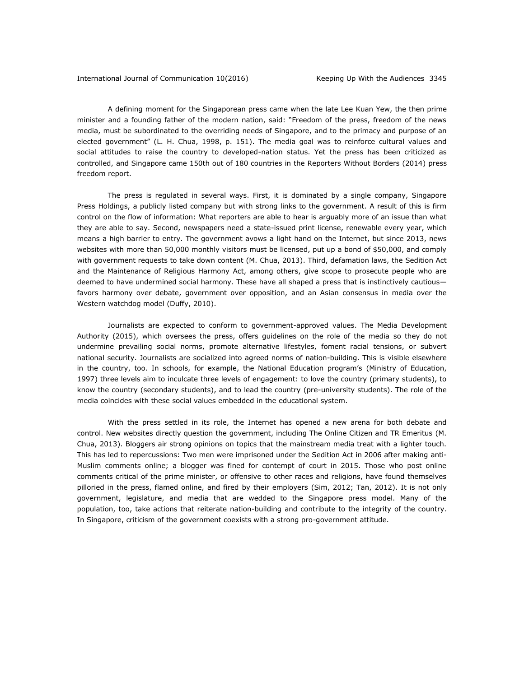A defining moment for the Singaporean press came when the late Lee Kuan Yew, the then prime minister and a founding father of the modern nation, said: "Freedom of the press, freedom of the news media, must be subordinated to the overriding needs of Singapore, and to the primacy and purpose of an elected government" (L. H. Chua, 1998, p. 151). The media goal was to reinforce cultural values and social attitudes to raise the country to developed-nation status. Yet the press has been criticized as controlled, and Singapore came 150th out of 180 countries in the Reporters Without Borders (2014) press freedom report.

The press is regulated in several ways. First, it is dominated by a single company, Singapore Press Holdings, a publicly listed company but with strong links to the government. A result of this is firm control on the flow of information: What reporters are able to hear is arguably more of an issue than what they are able to say. Second, newspapers need a state-issued print license, renewable every year, which means a high barrier to entry. The government avows a light hand on the Internet, but since 2013, news websites with more than 50,000 monthly visitors must be licensed, put up a bond of \$50,000, and comply with government requests to take down content (M. Chua, 2013). Third, defamation laws, the Sedition Act and the Maintenance of Religious Harmony Act, among others, give scope to prosecute people who are deemed to have undermined social harmony. These have all shaped a press that is instinctively cautious favors harmony over debate, government over opposition, and an Asian consensus in media over the Western watchdog model (Duffy, 2010).

Journalists are expected to conform to government-approved values. The Media Development Authority (2015), which oversees the press, offers guidelines on the role of the media so they do not undermine prevailing social norms, promote alternative lifestyles, foment racial tensions, or subvert national security. Journalists are socialized into agreed norms of nation-building. This is visible elsewhere in the country, too. In schools, for example, the National Education program's (Ministry of Education, 1997) three levels aim to inculcate three levels of engagement: to love the country (primary students), to know the country (secondary students), and to lead the country (pre-university students). The role of the media coincides with these social values embedded in the educational system.

With the press settled in its role, the Internet has opened a new arena for both debate and control. New websites directly question the government, including The Online Citizen and TR Emeritus (M. Chua, 2013). Bloggers air strong opinions on topics that the mainstream media treat with a lighter touch. This has led to repercussions: Two men were imprisoned under the Sedition Act in 2006 after making anti-Muslim comments online; a blogger was fined for contempt of court in 2015. Those who post online comments critical of the prime minister, or offensive to other races and religions, have found themselves pilloried in the press, flamed online, and fired by their employers (Sim, 2012; Tan, 2012). It is not only government, legislature, and media that are wedded to the Singapore press model. Many of the population, too, take actions that reiterate nation-building and contribute to the integrity of the country. In Singapore, criticism of the government coexists with a strong pro-government attitude.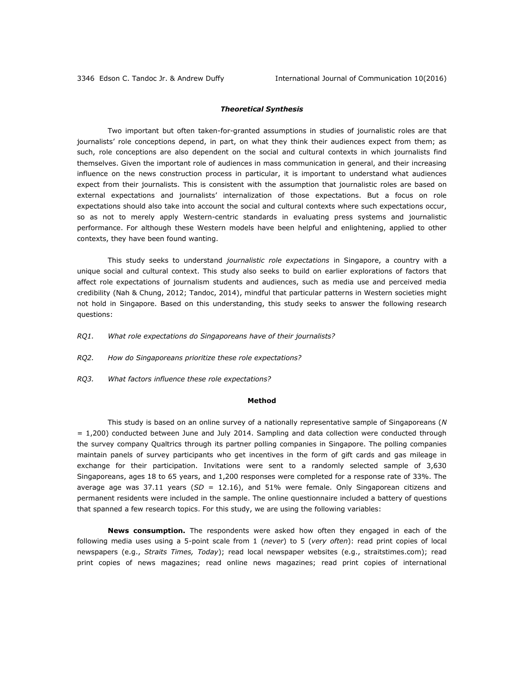### *Theoretical Synthesis*

Two important but often taken-for-granted assumptions in studies of journalistic roles are that journalists' role conceptions depend, in part, on what they think their audiences expect from them; as such, role conceptions are also dependent on the social and cultural contexts in which journalists find themselves. Given the important role of audiences in mass communication in general, and their increasing influence on the news construction process in particular, it is important to understand what audiences expect from their journalists. This is consistent with the assumption that journalistic roles are based on external expectations and journalists' internalization of those expectations. But a focus on role expectations should also take into account the social and cultural contexts where such expectations occur, so as not to merely apply Western-centric standards in evaluating press systems and journalistic performance. For although these Western models have been helpful and enlightening, applied to other contexts, they have been found wanting.

This study seeks to understand *journalistic role expectations* in Singapore, a country with a unique social and cultural context. This study also seeks to build on earlier explorations of factors that affect role expectations of journalism students and audiences, such as media use and perceived media credibility (Nah & Chung, 2012; Tandoc, 2014), mindful that particular patterns in Western societies might not hold in Singapore. Based on this understanding, this study seeks to answer the following research questions:

- *RQ1. What role expectations do Singaporeans have of their journalists?*
- *RQ2. How do Singaporeans prioritize these role expectations?*
- *RQ3. What factors influence these role expectations?*

### **Method**

This study is based on an online survey of a nationally representative sample of Singaporeans (*N* = 1,200) conducted between June and July 2014. Sampling and data collection were conducted through the survey company Qualtrics through its partner polling companies in Singapore. The polling companies maintain panels of survey participants who get incentives in the form of gift cards and gas mileage in exchange for their participation. Invitations were sent to a randomly selected sample of 3,630 Singaporeans, ages 18 to 65 years, and 1,200 responses were completed for a response rate of 33%. The average age was 37.11 years (*SD* = 12.16), and 51% were female. Only Singaporean citizens and permanent residents were included in the sample. The online questionnaire included a battery of questions that spanned a few research topics. For this study, we are using the following variables:

**News consumption.** The respondents were asked how often they engaged in each of the following media uses using a 5-point scale from 1 (*never*) to 5 (*very often*): read print copies of local newspapers (e.g., *Straits Times, Today*); read local newspaper websites (e.g., straitstimes.com); read print copies of news magazines; read online news magazines; read print copies of international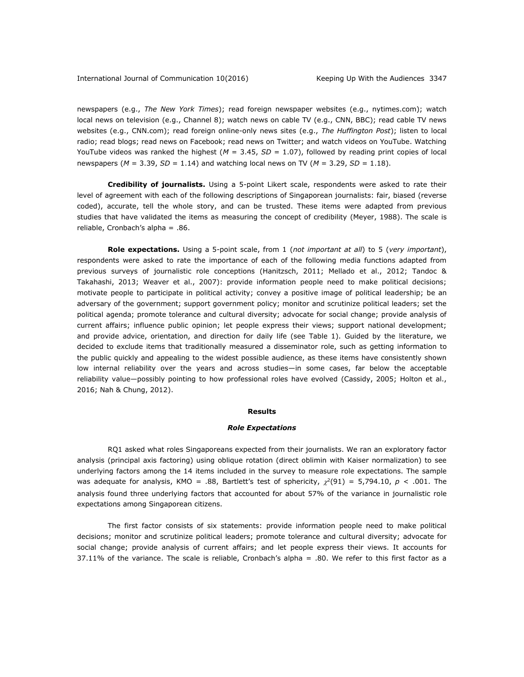newspapers (e.g., *The New York Times*); read foreign newspaper websites (e.g., nytimes.com); watch local news on television (e.g., Channel 8); watch news on cable TV (e.g., CNN, BBC); read cable TV news websites (e.g., CNN.com); read foreign online-only news sites (e.g., *The Huffington Post*); listen to local radio; read blogs; read news on Facebook; read news on Twitter; and watch videos on YouTube. Watching YouTube videos was ranked the highest  $(M = 3.45, SD = 1.07)$ , followed by reading print copies of local newspapers ( $M = 3.39$ ,  $SD = 1.14$ ) and watching local news on TV ( $M = 3.29$ ,  $SD = 1.18$ ).

**Credibility of journalists.** Using a 5-point Likert scale, respondents were asked to rate their level of agreement with each of the following descriptions of Singaporean journalists: fair, biased (reverse coded), accurate, tell the whole story, and can be trusted. These items were adapted from previous studies that have validated the items as measuring the concept of credibility (Meyer, 1988). The scale is reliable, Cronbach's alpha = .86.

**Role expectations.** Using a 5-point scale, from 1 (*not important at all*) to 5 (*very important*), respondents were asked to rate the importance of each of the following media functions adapted from previous surveys of journalistic role conceptions (Hanitzsch, 2011; Mellado et al., 2012; Tandoc & Takahashi, 2013; Weaver et al., 2007): provide information people need to make political decisions; motivate people to participate in political activity; convey a positive image of political leadership; be an adversary of the government; support government policy; monitor and scrutinize political leaders; set the political agenda; promote tolerance and cultural diversity; advocate for social change; provide analysis of current affairs; influence public opinion; let people express their views; support national development; and provide advice, orientation, and direction for daily life (see Table 1). Guided by the literature, we decided to exclude items that traditionally measured a disseminator role, such as getting information to the public quickly and appealing to the widest possible audience, as these items have consistently shown low internal reliability over the years and across studies—in some cases, far below the acceptable reliability value—possibly pointing to how professional roles have evolved (Cassidy, 2005; Holton et al., 2016; Nah & Chung, 2012).

#### **Results**

#### *Role Expectations*

RQ1 asked what roles Singaporeans expected from their journalists. We ran an exploratory factor analysis (principal axis factoring) using oblique rotation (direct oblimin with Kaiser normalization) to see underlying factors among the 14 items included in the survey to measure role expectations. The sample was adequate for analysis, KMO = .88, Bartlett's test of sphericity,  $\chi^2(91) = 5,794.10$ ,  $p < .001$ . The analysis found three underlying factors that accounted for about 57% of the variance in journalistic role expectations among Singaporean citizens.

The first factor consists of six statements: provide information people need to make political decisions; monitor and scrutinize political leaders; promote tolerance and cultural diversity; advocate for social change; provide analysis of current affairs; and let people express their views. It accounts for 37.11% of the variance. The scale is reliable, Cronbach's alpha = .80. We refer to this first factor as a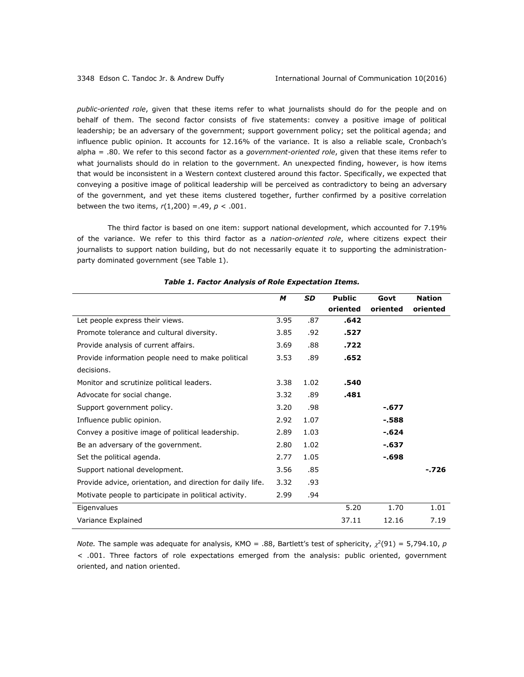*public-oriented role*, given that these items refer to what journalists should do for the people and on behalf of them. The second factor consists of five statements: convey a positive image of political leadership; be an adversary of the government; support government policy; set the political agenda; and influence public opinion. It accounts for 12.16% of the variance. It is also a reliable scale, Cronbach's alpha = .80. We refer to this second factor as a *government-oriented role*, given that these items refer to what journalists should do in relation to the government. An unexpected finding, however, is how items that would be inconsistent in a Western context clustered around this factor. Specifically, we expected that conveying a positive image of political leadership will be perceived as contradictory to being an adversary of the government, and yet these items clustered together, further confirmed by a positive correlation between the two items, *r*(1,200) =.49, *p* < .001.

The third factor is based on one item: support national development, which accounted for 7.19% of the variance. We refer to this third factor as a *nation-oriented role*, where citizens expect their journalists to support nation building, but do not necessarily equate it to supporting the administrationparty dominated government (see Table 1).

|                                                            | M    | <b>SD</b> | <b>Public</b> | Govt     | <b>Nation</b> |
|------------------------------------------------------------|------|-----------|---------------|----------|---------------|
|                                                            |      |           | oriented      | oriented | oriented      |
| Let people express their views.                            | 3.95 | .87       | .642          |          |               |
| Promote tolerance and cultural diversity.                  | 3.85 | .92       | .527          |          |               |
| Provide analysis of current affairs.                       | 3.69 | .88       | .722          |          |               |
| Provide information people need to make political          | 3.53 | .89       | .652          |          |               |
| decisions.                                                 |      |           |               |          |               |
| Monitor and scrutinize political leaders.                  | 3.38 | 1.02      | .540          |          |               |
| Advocate for social change.                                | 3.32 | .89       | .481          |          |               |
| Support government policy.                                 | 3.20 | .98       |               | -.677    |               |
| Influence public opinion.                                  | 2.92 | 1.07      |               | -.588    |               |
| Convey a positive image of political leadership.           | 2.89 | 1.03      |               | $-624$   |               |
| Be an adversary of the government.                         | 2.80 | 1.02      |               | -.637    |               |
| Set the political agenda.                                  | 2.77 | 1.05      |               | $-698$   |               |
| Support national development.                              | 3.56 | .85       |               |          | - 726         |
| Provide advice, orientation, and direction for daily life. | 3.32 | .93       |               |          |               |
| Motivate people to participate in political activity.      | 2.99 | .94       |               |          |               |
| Eigenvalues                                                |      |           | 5.20          | 1.70     | 1.01          |
| Variance Explained                                         |      |           | 37.11         | 12.16    | 7.19          |

# *Table 1. Factor Analysis of Role Expectation Items.*

*Note.* The sample was adequate for analysis, KMO = .88, Bartlett's test of sphericity,  $\chi^2(91) = 5,794.10$ , p *< .*001. Three factors of role expectations emerged from the analysis: public oriented, government oriented, and nation oriented.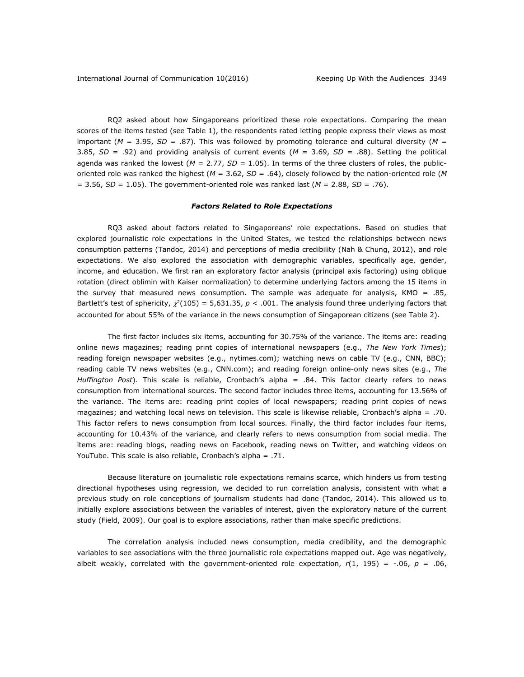RQ2 asked about how Singaporeans prioritized these role expectations. Comparing the mean scores of the items tested (see Table 1), the respondents rated letting people express their views as most important ( $M = 3.95$ ,  $SD = .87$ ). This was followed by promoting tolerance and cultural diversity ( $M =$ 3.85, *SD* = .92) and providing analysis of current events (*M* = 3.69, *SD* = .88). Setting the political agenda was ranked the lowest ( $M = 2.77$ ,  $SD = 1.05$ ). In terms of the three clusters of roles, the publicoriented role was ranked the highest (*M* = 3.62, *SD* = .64), closely followed by the nation-oriented role (*M*  $=$  3.56, *SD* = 1.05). The government-oriented role was ranked last ( $M = 2.88$ , *SD* = .76).

#### *Factors Related to Role Expectations*

RQ3 asked about factors related to Singaporeans' role expectations. Based on studies that explored journalistic role expectations in the United States, we tested the relationships between news consumption patterns (Tandoc, 2014) and perceptions of media credibility (Nah & Chung, 2012), and role expectations. We also explored the association with demographic variables, specifically age, gender, income, and education. We first ran an exploratory factor analysis (principal axis factoring) using oblique rotation (direct oblimin with Kaiser normalization) to determine underlying factors among the 15 items in the survey that measured news consumption. The sample was adequate for analysis, KMO = .85, Bartlett's test of sphericity,  $\chi^2(105) = 5,631.35$ ,  $p < .001$ . The analysis found three underlying factors that accounted for about 55% of the variance in the news consumption of Singaporean citizens (see Table 2).

The first factor includes six items, accounting for 30.75% of the variance. The items are: reading online news magazines; reading print copies of international newspapers (e.g., *The New York Times*); reading foreign newspaper websites (e.g., nytimes.com); watching news on cable TV (e.g., CNN, BBC); reading cable TV news websites (e.g., CNN.com); and reading foreign online-only news sites (e.g., *The Huffington Post*). This scale is reliable, Cronbach's alpha = .84. This factor clearly refers to news consumption from international sources. The second factor includes three items, accounting for 13.56% of the variance. The items are: reading print copies of local newspapers; reading print copies of news magazines; and watching local news on television. This scale is likewise reliable, Cronbach's alpha = .70. This factor refers to news consumption from local sources. Finally, the third factor includes four items, accounting for 10.43% of the variance, and clearly refers to news consumption from social media. The items are: reading blogs, reading news on Facebook, reading news on Twitter, and watching videos on YouTube. This scale is also reliable, Cronbach's alpha = .71.

Because literature on journalistic role expectations remains scarce, which hinders us from testing directional hypotheses using regression, we decided to run correlation analysis, consistent with what a previous study on role conceptions of journalism students had done (Tandoc, 2014). This allowed us to initially explore associations between the variables of interest, given the exploratory nature of the current study (Field, 2009). Our goal is to explore associations, rather than make specific predictions.

The correlation analysis included news consumption, media credibility, and the demographic variables to see associations with the three journalistic role expectations mapped out. Age was negatively, albeit weakly, correlated with the government-oriented role expectation,  $r(1, 195) = -06$ ,  $p = 0.06$ ,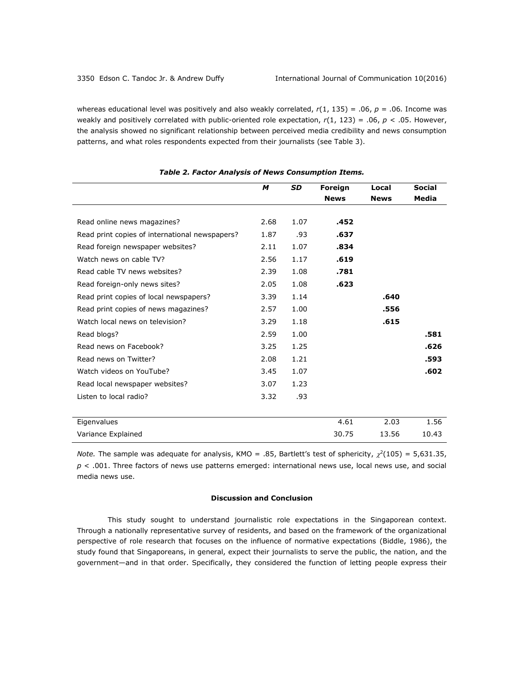whereas educational level was positively and also weakly correlated, *r*(1, 135) = .06, *p* = .06*.* Income was weakly and positively correlated with public-oriented role expectation, *r*(1, 123) = .06, *p <* .05. However, the analysis showed no significant relationship between perceived media credibility and news consumption patterns, and what roles respondents expected from their journalists (see Table 3).

|                                                | M    | <b>SD</b> | Foreign     | Local       | <b>Social</b> |
|------------------------------------------------|------|-----------|-------------|-------------|---------------|
|                                                |      |           | <b>News</b> | <b>News</b> | Media         |
| Read online news magazines?                    | 2.68 | 1.07      | .452        |             |               |
| Read print copies of international newspapers? | 1.87 | .93       | .637        |             |               |
| Read foreign newspaper websites?               | 2.11 | 1.07      | .834        |             |               |
| Watch news on cable TV?                        | 2.56 | 1.17      | .619        |             |               |
| Read cable TV news websites?                   | 2.39 | 1.08      | .781        |             |               |
| Read foreign-only news sites?                  | 2.05 | 1.08      | .623        |             |               |
| Read print copies of local newspapers?         | 3.39 | 1.14      |             | .640        |               |
| Read print copies of news magazines?           | 2.57 | 1.00      |             | .556        |               |
| Watch local news on television?                | 3.29 | 1.18      |             | .615        |               |
| Read blogs?                                    | 2.59 | 1.00      |             |             | .581          |
| Read news on Facebook?                         | 3.25 | 1.25      |             |             | .626          |
| Read news on Twitter?                          | 2.08 | 1.21      |             |             | .593          |
| Watch videos on YouTube?                       | 3.45 | 1.07      |             |             | .602          |
| Read local newspaper websites?                 | 3.07 | 1.23      |             |             |               |
| Listen to local radio?                         | 3.32 | .93       |             |             |               |
|                                                |      |           |             |             |               |
| Eigenvalues                                    |      |           | 4.61        | 2.03        | 1.56          |
| Variance Explained                             |      |           | 30.75       | 13.56       | 10.43         |

# *Table 2. Factor Analysis of News Consumption Items.*

*Note.* The sample was adequate for analysis, KMO = .85, Bartlett's test of sphericity,  $\chi^2(105) = 5.631.35$ , *p* < .001. Three factors of news use patterns emerged: international news use, local news use, and social media news use.

# **Discussion and Conclusion**

This study sought to understand journalistic role expectations in the Singaporean context. Through a nationally representative survey of residents, and based on the framework of the organizational perspective of role research that focuses on the influence of normative expectations (Biddle, 1986), the study found that Singaporeans, in general, expect their journalists to serve the public, the nation, and the government—and in that order. Specifically, they considered the function of letting people express their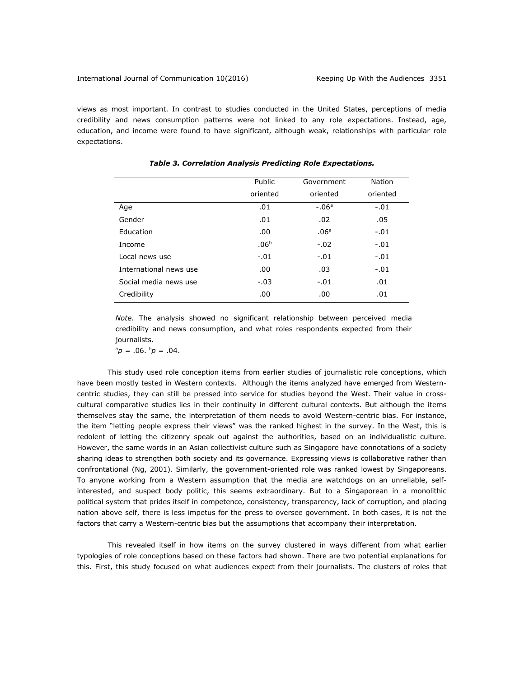views as most important. In contrast to studies conducted in the United States, perceptions of media credibility and news consumption patterns were not linked to any role expectations. Instead, age, education, and income were found to have significant, although weak, relationships with particular role expectations.

|                        | Public           | Government       | Nation   |
|------------------------|------------------|------------------|----------|
|                        | oriented         | oriented         | oriented |
| Age                    | .01              | $-.06a$          | $-.01$   |
| Gender                 | .01              | .02              | .05      |
| Education              | .00.             | .06 <sup>a</sup> | $-.01$   |
| Income                 | .06 <sup>b</sup> | $-.02$           | $-.01$   |
| Local news use         | $-.01$           | $-.01$           | $-.01$   |
| International news use | .00.             | .03              | $-.01$   |
| Social media news use  | $-.03$           | $-.01$           | .01      |
| Credibility            | .00              | .00              | .01      |

*Table 3. Correlation Analysis Predicting Role Expectations.*

*Note.* The analysis showed no significant relationship between perceived media credibility and news consumption, and what roles respondents expected from their journalists.

 $a_p = .06$ .  $b_p = .04$ .

This study used role conception items from earlier studies of journalistic role conceptions, which have been mostly tested in Western contexts. Although the items analyzed have emerged from Westerncentric studies, they can still be pressed into service for studies beyond the West. Their value in crosscultural comparative studies lies in their continuity in different cultural contexts. But although the items themselves stay the same, the interpretation of them needs to avoid Western-centric bias. For instance, the item "letting people express their views" was the ranked highest in the survey. In the West, this is redolent of letting the citizenry speak out against the authorities, based on an individualistic culture. However, the same words in an Asian collectivist culture such as Singapore have connotations of a society sharing ideas to strengthen both society and its governance. Expressing views is collaborative rather than confrontational (Ng, 2001). Similarly, the government-oriented role was ranked lowest by Singaporeans. To anyone working from a Western assumption that the media are watchdogs on an unreliable, selfinterested, and suspect body politic, this seems extraordinary. But to a Singaporean in a monolithic political system that prides itself in competence, consistency, transparency, lack of corruption, and placing nation above self, there is less impetus for the press to oversee government. In both cases, it is not the factors that carry a Western-centric bias but the assumptions that accompany their interpretation.

This revealed itself in how items on the survey clustered in ways different from what earlier typologies of role conceptions based on these factors had shown. There are two potential explanations for this. First, this study focused on what audiences expect from their journalists. The clusters of roles that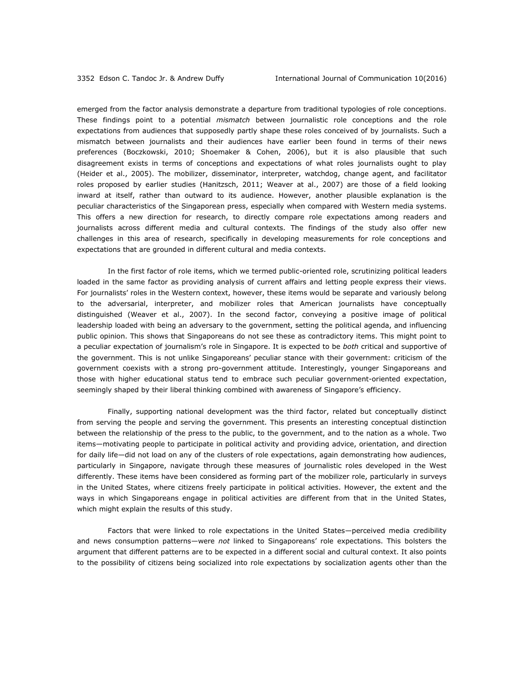emerged from the factor analysis demonstrate a departure from traditional typologies of role conceptions. These findings point to a potential *mismatch* between journalistic role conceptions and the role expectations from audiences that supposedly partly shape these roles conceived of by journalists. Such a mismatch between journalists and their audiences have earlier been found in terms of their news preferences (Boczkowski, 2010; Shoemaker & Cohen, 2006), but it is also plausible that such disagreement exists in terms of conceptions and expectations of what roles journalists ought to play (Heider et al., 2005). The mobilizer, disseminator, interpreter, watchdog, change agent, and facilitator roles proposed by earlier studies (Hanitzsch, 2011; Weaver at al., 2007) are those of a field looking inward at itself, rather than outward to its audience. However, another plausible explanation is the peculiar characteristics of the Singaporean press, especially when compared with Western media systems. This offers a new direction for research, to directly compare role expectations among readers and journalists across different media and cultural contexts. The findings of the study also offer new challenges in this area of research, specifically in developing measurements for role conceptions and expectations that are grounded in different cultural and media contexts.

In the first factor of role items, which we termed public-oriented role, scrutinizing political leaders loaded in the same factor as providing analysis of current affairs and letting people express their views. For journalists' roles in the Western context, however, these items would be separate and variously belong to the adversarial, interpreter, and mobilizer roles that American journalists have conceptually distinguished (Weaver et al., 2007). In the second factor, conveying a positive image of political leadership loaded with being an adversary to the government, setting the political agenda, and influencing public opinion. This shows that Singaporeans do not see these as contradictory items. This might point to a peculiar expectation of journalism's role in Singapore. It is expected to be *both* critical and supportive of the government. This is not unlike Singaporeans' peculiar stance with their government: criticism of the government coexists with a strong pro-government attitude. Interestingly, younger Singaporeans and those with higher educational status tend to embrace such peculiar government-oriented expectation, seemingly shaped by their liberal thinking combined with awareness of Singapore's efficiency.

Finally, supporting national development was the third factor, related but conceptually distinct from serving the people and serving the government. This presents an interesting conceptual distinction between the relationship of the press to the public, to the government, and to the nation as a whole. Two items—motivating people to participate in political activity and providing advice, orientation, and direction for daily life—did not load on any of the clusters of role expectations, again demonstrating how audiences, particularly in Singapore, navigate through these measures of journalistic roles developed in the West differently. These items have been considered as forming part of the mobilizer role, particularly in surveys in the United States, where citizens freely participate in political activities. However, the extent and the ways in which Singaporeans engage in political activities are different from that in the United States, which might explain the results of this study.

Factors that were linked to role expectations in the United States—perceived media credibility and news consumption patterns—were *not* linked to Singaporeans' role expectations. This bolsters the argument that different patterns are to be expected in a different social and cultural context. It also points to the possibility of citizens being socialized into role expectations by socialization agents other than the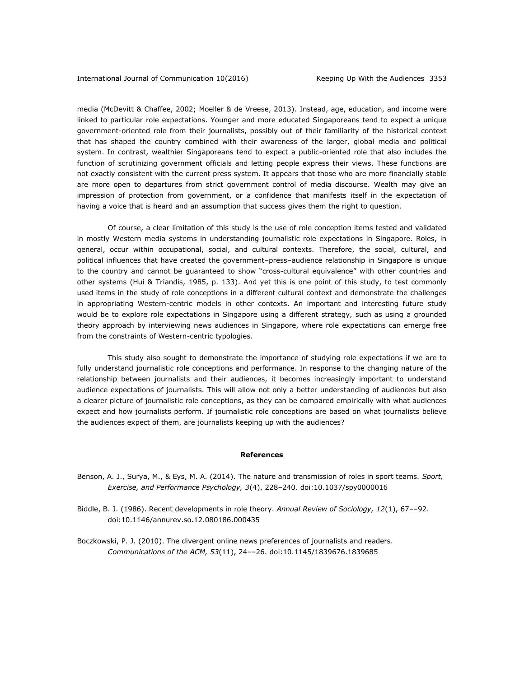media (McDevitt & Chaffee, 2002; Moeller & de Vreese, 2013). Instead, age, education, and income were linked to particular role expectations. Younger and more educated Singaporeans tend to expect a unique government-oriented role from their journalists, possibly out of their familiarity of the historical context that has shaped the country combined with their awareness of the larger, global media and political system. In contrast, wealthier Singaporeans tend to expect a public-oriented role that also includes the function of scrutinizing government officials and letting people express their views. These functions are not exactly consistent with the current press system. It appears that those who are more financially stable are more open to departures from strict government control of media discourse. Wealth may give an impression of protection from government, or a confidence that manifests itself in the expectation of having a voice that is heard and an assumption that success gives them the right to question.

Of course, a clear limitation of this study is the use of role conception items tested and validated in mostly Western media systems in understanding journalistic role expectations in Singapore. Roles, in general, occur within occupational, social, and cultural contexts. Therefore, the social, cultural, and political influences that have created the government–press–audience relationship in Singapore is unique to the country and cannot be guaranteed to show "cross-cultural equivalence" with other countries and other systems (Hui & Triandis, 1985, p. 133). And yet this is one point of this study, to test commonly used items in the study of role conceptions in a different cultural context and demonstrate the challenges in appropriating Western-centric models in other contexts. An important and interesting future study would be to explore role expectations in Singapore using a different strategy, such as using a grounded theory approach by interviewing news audiences in Singapore, where role expectations can emerge free from the constraints of Western-centric typologies.

This study also sought to demonstrate the importance of studying role expectations if we are to fully understand journalistic role conceptions and performance. In response to the changing nature of the relationship between journalists and their audiences, it becomes increasingly important to understand audience expectations of journalists. This will allow not only a better understanding of audiences but also a clearer picture of journalistic role conceptions, as they can be compared empirically with what audiences expect and how journalists perform. If journalistic role conceptions are based on what journalists believe the audiences expect of them, are journalists keeping up with the audiences?

#### **References**

- Benson, A. J., Surya, M., & Eys, M. A. (2014). The nature and transmission of roles in sport teams. *Sport, Exercise, and Performance Psychology, 3*(4), 228–240. doi:10.1037/spy0000016
- Biddle, B. J. (1986). Recent developments in role theory. *Annual Review of Sociology, 12*(1), 67––92. doi:10.1146/annurev.so.12.080186.000435
- Boczkowski, P. J. (2010). The divergent online news preferences of journalists and readers. *Communications of the ACM, 53*(11), 24––26. doi:10.1145/1839676.1839685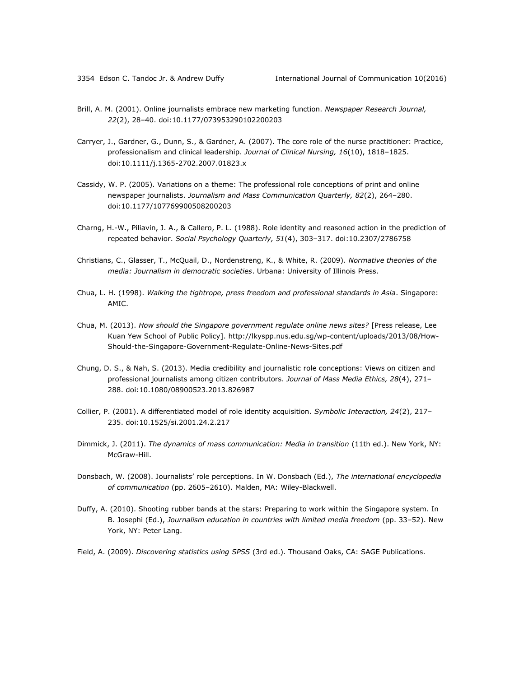- Brill, A. M. (2001). Online journalists embrace new marketing function. *Newspaper Research Journal, 22*(2), 28–40. doi:10.1177/073953290102200203
- Carryer, J., Gardner, G., Dunn, S., & Gardner, A. (2007). The core role of the nurse practitioner: Practice, professionalism and clinical leadership. *Journal of Clinical Nursing, 16*(10), 1818–1825. doi:10.1111/j.1365-2702.2007.01823.x
- Cassidy, W. P. (2005). Variations on a theme: The professional role conceptions of print and online newspaper journalists. *Journalism and Mass Communication Quarterly, 82*(2), 264–280. doi:10.1177/107769900508200203
- Charng, H.-W., Piliavin, J. A., & Callero, P. L. (1988). Role identity and reasoned action in the prediction of repeated behavior. *Social Psychology Quarterly, 51*(4), 303–317. doi:10.2307/2786758
- Christians, C., Glasser, T., McQuail, D., Nordenstreng, K., & White, R. (2009). *Normative theories of the media: Journalism in democratic societies*. Urbana: University of Illinois Press.
- Chua, L. H. (1998). *Walking the tightrope, press freedom and professional standards in Asia*. Singapore: AMIC.
- Chua, M. (2013). *How should the Singapore government regulate online news sites?* [Press release, Lee Kuan Yew School of Public Policy]. [http://lkyspp.nus.edu.sg/wp-content/uploads/2013/08/How-](http://lkyspp.nus.edu.sg/wp-content/uploads/2013/08/How-Should-the-Singapore-Government-Regulate-Online-News-Sites.pdf)[Should-the-Singapore-Government-Regulate-Online-News-Sites.pdf](http://lkyspp.nus.edu.sg/wp-content/uploads/2013/08/How-Should-the-Singapore-Government-Regulate-Online-News-Sites.pdf)
- Chung, D. S., & Nah, S. (2013). Media credibility and journalistic role conceptions: Views on citizen and professional journalists among citizen contributors. *Journal of Mass Media Ethics, 28*(4), 271– 288. doi:10.1080/08900523.2013.826987
- Collier, P. (2001). A differentiated model of role identity acquisition. *Symbolic Interaction, 24*(2), 217– 235. doi:10.1525/si.2001.24.2.217
- Dimmick, J. (2011). *The dynamics of mass communication: Media in transition* (11th ed.). New York, NY: McGraw-Hill.
- Donsbach, W. (2008). Journalists' role perceptions. In W. Donsbach (Ed.), *The international encyclopedia of communication* (pp. 2605–2610). Malden, MA: Wiley-Blackwell.
- Duffy, A. (2010). Shooting rubber bands at the stars: Preparing to work within the Singapore system. In B. Josephi (Ed.), *Journalism education in countries with limited media freedom* (pp. 33–52). New York, NY: Peter Lang.
- Field, A. (2009). *Discovering statistics using SPSS* (3rd ed.). Thousand Oaks, CA: SAGE Publications.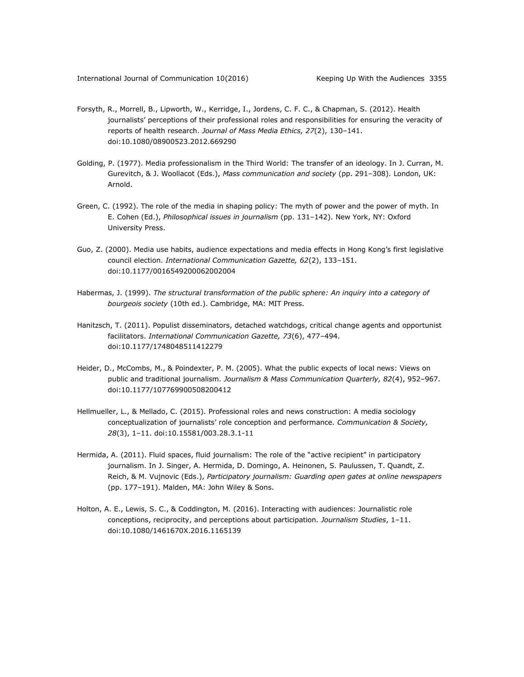- Forsyth, R., Morrell, B., Lipworth, W., Kerridge, I., Jordens, C. F. C., & Chapman, S. (2012). Health journalists' perceptions of their professional roles and responsibilities for ensuring the veracity of reports of health research. *Journal of Mass Media Ethics, 27*(2), 130–141. doi:10.1080/08900523.2012.669290
- Golding, P. (1977). Media professionalism in the Third World: The transfer of an ideology. In J. Curran, M. Gurevitch, & J. Woollacot (Eds.), *Mass communication and society* (pp. 291–308). London, UK: Arnold.
- Green, C. (1992). The role of the media in shaping policy: The myth of power and the power of myth. In E. Cohen (Ed.), *Philosophical issues in journalism* (pp. 131–142). New York, NY: Oxford University Press.
- Guo, Z. (2000). Media use habits, audience expectations and media effects in Hong Kong's first legislative council election. *International Communication Gazette, 62*(2), 133–151. doi:10.1177/0016549200062002004
- Habermas, J. (1999). *The structural transformation of the public sphere: An inquiry into a category of bourgeois society* (10th ed.). Cambridge, MA: MIT Press.
- Hanitzsch, T. (2011). Populist disseminators, detached watchdogs, critical change agents and opportunist facilitators. *International Communication Gazette, 73*(6), 477–494. doi:10.1177/1748048511412279
- Heider, D., McCombs, M., & Poindexter, P. M. (2005). What the public expects of local news: Views on public and traditional journalism. *Journalism & Mass Communication Quarterly, 82*(4), 952–967. doi:10.1177/107769900508200412
- Hellmueller, L., & Mellado, C. (2015). Professional roles and news construction: A media sociology conceptualization of journalists' role conception and performance. *Communication & Society, 28*(3), 1–11. doi:10.15581/003.28.3.1-11
- Hermida, A. (2011). Fluid spaces, fluid journalism: The role of the "active recipient" in participatory journalism. In J. Singer, A. Hermida, D. Domingo, A. Heinonen, S. Paulussen, T. Quandt, Z. Reich, & M. Vujnovic (Eds.), *Participatory journalism: Guarding open gates at online newspapers* (pp. 177–191). Malden, MA: John Wiley & Sons.
- Holton, A. E., Lewis, S. C., & Coddington, M. (2016). Interacting with audiences: Journalistic role conceptions, reciprocity, and perceptions about participation. *Journalism Studies*, 1–11. doi:10.1080/1461670X.2016.1165139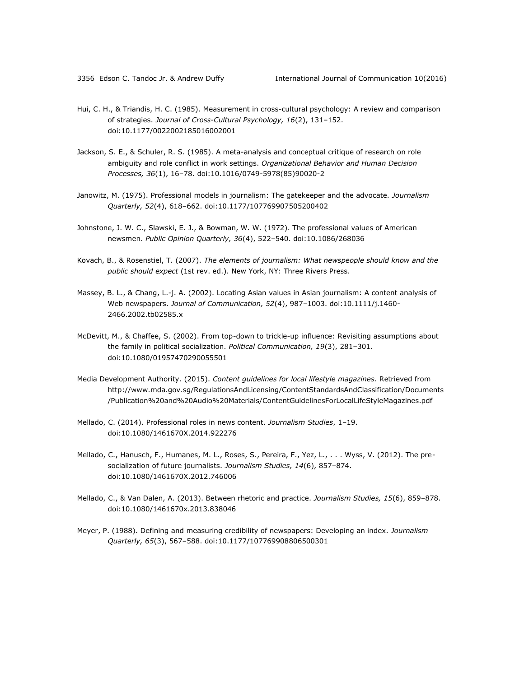- Hui, C. H., & Triandis, H. C. (1985). Measurement in cross-cultural psychology: A review and comparison of strategies. *Journal of Cross-Cultural Psychology, 16*(2), 131–152. doi:10.1177/0022002185016002001
- Jackson, S. E., & Schuler, R. S. (1985). A meta-analysis and conceptual critique of research on role ambiguity and role conflict in work settings. *Organizational Behavior and Human Decision Processes, 36*(1), 16–78. doi:10.1016/0749-5978(85)90020-2
- Janowitz, M. (1975). Professional models in journalism: The gatekeeper and the advocate. *Journalism Quarterly, 52*(4), 618–662. doi:10.1177/107769907505200402
- Johnstone, J. W. C., Slawski, E. J., & Bowman, W. W. (1972). The professional values of American newsmen. *Public Opinion Quarterly, 36*(4), 522–540. doi:10.1086/268036
- Kovach, B., & Rosenstiel, T. (2007). *The elements of journalism: What newspeople should know and the public should expect* (1st rev. ed.). New York, NY: Three Rivers Press.
- Massey, B. L., & Chang, L.-j. A. (2002). Locating Asian values in Asian journalism: A content analysis of Web newspapers. *Journal of Communication, 52*(4), 987–1003. doi:10.1111/j.1460- 2466.2002.tb02585.x
- McDevitt, M., & Chaffee, S. (2002). From top-down to trickle-up influence: Revisiting assumptions about the family in political socialization. *Political Communication, 19*(3), 281–301. doi:10.1080/01957470290055501
- Media Development Authority. (2015). *Content guidelines for local lifestyle magazines.* Retrieved from [http://www.mda.gov.sg/RegulationsAndLicensing/ContentStandardsAndClassification/Documents](http://www.mda.gov.sg/RegulationsAndLicensing/ContentStandardsAndClassification/Documents/Publication%20and%20Audio%20Materials/ContentGuidelinesForLocalLifeStyleMagazines.pdf) [/Publication%20and%20Audio%20Materials/ContentGuidelinesForLocalLifeStyleMagazines.pdf](http://www.mda.gov.sg/RegulationsAndLicensing/ContentStandardsAndClassification/Documents/Publication%20and%20Audio%20Materials/ContentGuidelinesForLocalLifeStyleMagazines.pdf)
- Mellado, C. (2014). Professional roles in news content. *Journalism Studies*, 1–19. doi:10.1080/1461670X.2014.922276
- Mellado, C., Hanusch, F., Humanes, M. L., Roses, S., Pereira, F., Yez, L., . . . Wyss, V. (2012). The presocialization of future journalists. *Journalism Studies, 14*(6), 857–874. doi:10.1080/1461670X.2012.746006
- Mellado, C., & Van Dalen, A. (2013). Between rhetoric and practice. *Journalism Studies, 15*(6), 859–878. doi:10.1080/1461670x.2013.838046
- Meyer, P. (1988). Defining and measuring credibility of newspapers: Developing an index. *Journalism Quarterly, 65*(3), 567–588. doi:10.1177/107769908806500301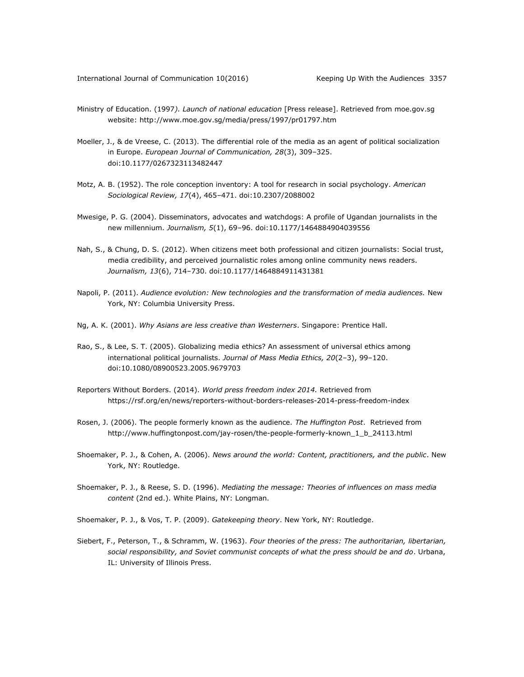- Ministry of Education. (1997*). Launch of national education* [Press release]. Retrieved from moe.gov.sg website:<http://www.moe.gov.sg/media/press/1997/pr01797.htm>
- Moeller, J., & de Vreese, C. (2013). The differential role of the media as an agent of political socialization in Europe. *European Journal of Communication, 28*(3), 309–325. doi:10.1177/0267323113482447
- Motz, A. B. (1952). The role conception inventory: A tool for research in social psychology. *American Sociological Review, 17*(4), 465–471. doi:10.2307/2088002
- Mwesige, P. G. (2004). Disseminators, advocates and watchdogs: A profile of Ugandan journalists in the new millennium. *Journalism, 5*(1), 69–96. doi:10.1177/1464884904039556
- Nah, S., & Chung, D. S. (2012). When citizens meet both professional and citizen journalists: Social trust, media credibility, and perceived journalistic roles among online community news readers. *Journalism, 13*(6), 714–730. doi:10.1177/1464884911431381
- Napoli, P. (2011). *Audience evolution: New technologies and the transformation of media audiences.* New York, NY: Columbia University Press.
- Ng, A. K. (2001). *Why Asians are less creative than Westerners*. Singapore: Prentice Hall.
- Rao, S., & Lee, S. T. (2005). Globalizing media ethics? An assessment of universal ethics among international political journalists. *Journal of Mass Media Ethics, 20*(2–3), 99–120. doi:10.1080/08900523.2005.9679703
- Reporters Without Borders. (2014). *World press freedom index 2014.* Retrieved from <https://rsf.org/en/news/reporters-without-borders-releases-2014-press-freedom-index>
- Rosen, J. (2006). The people formerly known as the audience. *The Huffington Post*. Retrieved from [http://www.huffingtonpost.com/jay-rosen/the-people-formerly-known\\_1\\_b\\_24113.html](http://www.huffingtonpost.com/jay-rosen/the-people-formerly-known_1_b_24113.html)
- Shoemaker, P. J., & Cohen, A. (2006). *News around the world: Content, practitioners, and the public*. New York, NY: Routledge.
- Shoemaker, P. J., & Reese, S. D. (1996). *Mediating the message: Theories of influences on mass media content* (2nd ed.). White Plains, NY: Longman.
- Shoemaker, P. J., & Vos, T. P. (2009). *Gatekeeping theory*. New York, NY: Routledge.
- Siebert, F., Peterson, T., & Schramm, W. (1963). *Four theories of the press: The authoritarian, libertarian, social responsibility, and Soviet communist concepts of what the press should be and do*. Urbana, IL: University of Illinois Press.